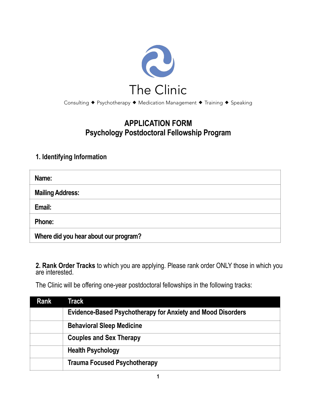

## **APPLICATION FORM Psychology Postdoctoral Fellowship Program**

#### **1. Identifying Information**

| Name:                                 |
|---------------------------------------|
| <b>Mailing Address:</b>               |
| Email:                                |
| Phone:                                |
| Where did you hear about our program? |

**2. Rank Order Tracks** to which you are applying. Please rank order ONLY those in which you are interested.

The Clinic will be offering one-year postdoctoral fellowships in the following tracks:

| Rank | Track                                                              |
|------|--------------------------------------------------------------------|
|      | <b>Evidence-Based Psychotherapy for Anxiety and Mood Disorders</b> |
|      | <b>Behavioral Sleep Medicine</b>                                   |
|      | <b>Couples and Sex Therapy</b>                                     |
|      | <b>Health Psychology</b>                                           |
|      | <b>Trauma Focused Psychotherapy</b>                                |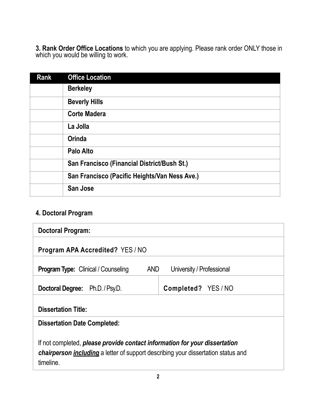**3. Rank Order Office Locations** to which you are applying. Please rank order ONLY those in which you would be willing to work.

| Rank | <b>Office Location</b>                        |
|------|-----------------------------------------------|
|      | <b>Berkeley</b>                               |
|      | <b>Beverly Hills</b>                          |
|      | <b>Corte Madera</b>                           |
|      | La Jolla                                      |
|      | <b>Orinda</b>                                 |
|      | Palo Alto                                     |
|      | San Francisco (Financial District/Bush St.)   |
|      | San Francisco (Pacific Heights/Van Ness Ave.) |
|      | <b>San Jose</b>                               |

# **4. Doctoral Program**

| Doctoral Program:                                                                                                                                                                   |                           |  |
|-------------------------------------------------------------------------------------------------------------------------------------------------------------------------------------|---------------------------|--|
| <b>Program APA Accredited? YES/NO</b>                                                                                                                                               |                           |  |
| <b>Program Type:</b> Clinical / Counseling<br><b>AND</b>                                                                                                                            | University / Professional |  |
| <b>Doctoral Degree:</b> Ph.D. / Psy.D.                                                                                                                                              | <b>Completed?</b> YES/NO  |  |
| <b>Dissertation Title:</b>                                                                                                                                                          |                           |  |
| <b>Dissertation Date Completed:</b>                                                                                                                                                 |                           |  |
| If not completed, please provide contact information for your dissertation<br>chairperson <i>including</i> a letter of support describing your dissertation status and<br>timeline. |                           |  |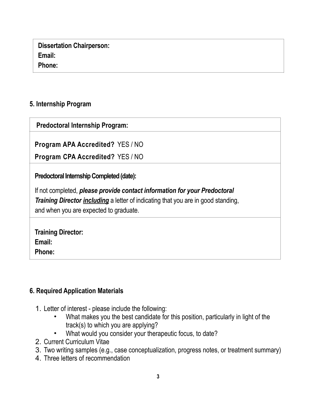| <b>Dissertation Chairperson:</b> |  |
|----------------------------------|--|
| Email:                           |  |
| Phone:                           |  |

#### **5. Internship Program**

 **Predoctoral Internship Program:**

**Program APA Accredited?** YES / NO

**Program CPA Accredited?** YES / NO

**Predoctoral Internship Completed (date):** 

If not completed, *please provide contact information for your Predoctoral Training Director including* a letter of indicating that you are in good standing, and when you are expected to graduate.

| <b>Training Director:</b> |  |
|---------------------------|--|
| Email:                    |  |
| Phone:                    |  |

#### **6. Required Application Materials**

- 1. Letter of interest please include the following:
	- What makes you the best candidate for this position, particularly in light of the track(s) to which you are applying?
	- What would you consider your therapeutic focus, to date?
- 2. Current Curriculum Vitae
- 3. Two writing samples (e.g., case conceptualization, progress notes, or treatment summary)
- 4. Three letters of recommendation